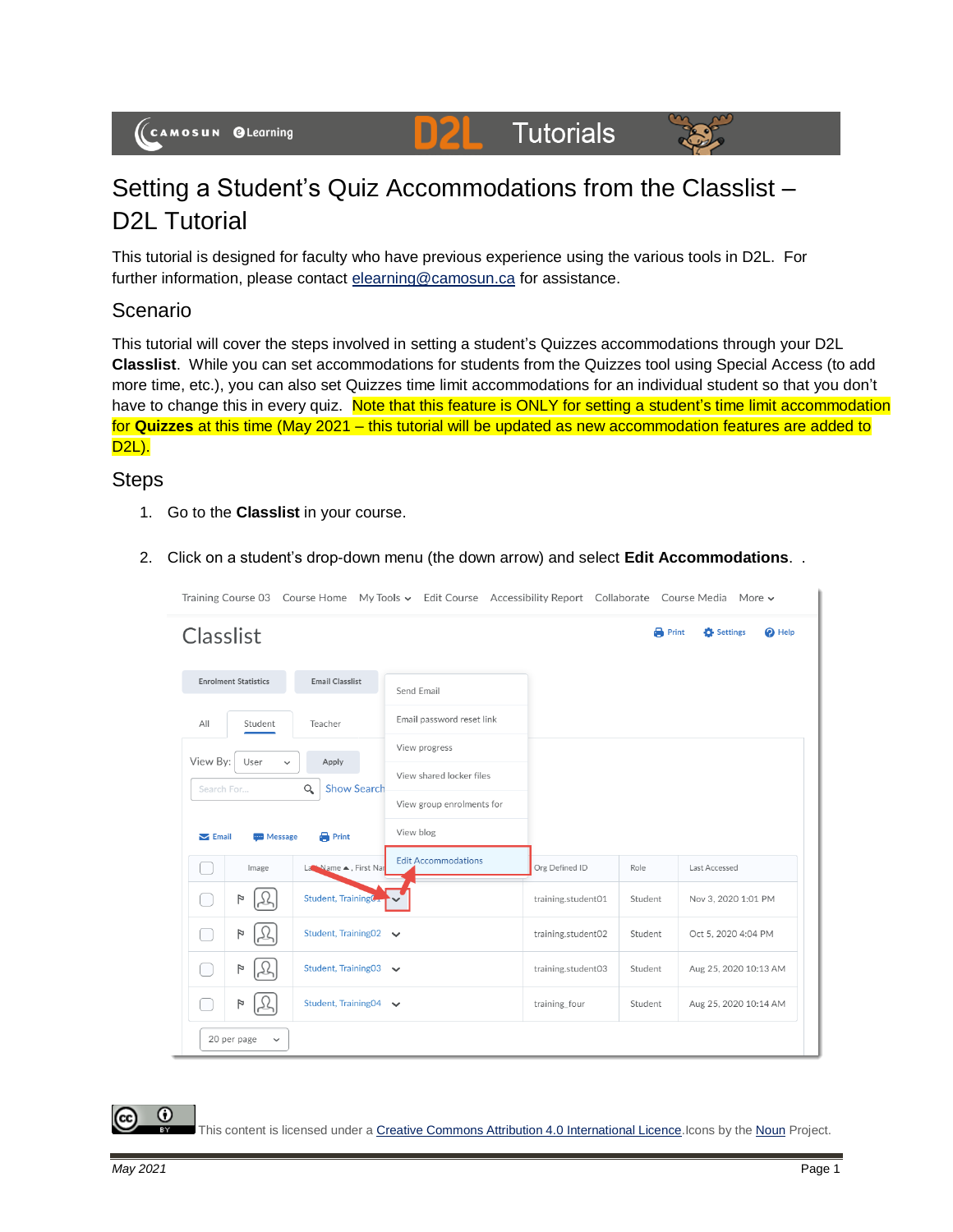#### **Tutorials** DZL



# Setting a Student's Quiz Accommodations from the Classlist – D<sub>2</sub>L Tutorial

This tutorial is designed for faculty who have previous experience using the various tools in D2L. For further information, please contact [elearning@camosun.ca](mailto:elearning@camosun.ca) for assistance.

# Scenario

This tutorial will cover the steps involved in setting a student's Quizzes accommodations through your D2L **Classlist**. While you can set accommodations for students from the Quizzes tool using Special Access (to add more time, etc.), you can also set Quizzes time limit accommodations for an individual student so that you don't have to change this in every quiz. Note that this feature is ONLY for setting a student's time limit accommodation for **Quizzes** at this time (May 2021 – this tutorial will be updated as new accommodation features are added to D2L).

#### **Steps**

- 1. Go to the **Classlist** in your course.
- 2. Click on a student's drop-down menu (the down arrow) and select **Edit Accommodations**. .

| Iraining Course 03 Course Home My Iools $\vee$ Edit Course Accessibility Report Collaborate Course Media More $\vee$ |                            |                    |              |                          |  |  |
|----------------------------------------------------------------------------------------------------------------------|----------------------------|--------------------|--------------|--------------------------|--|--|
| Classlist                                                                                                            |                            |                    | <b>Print</b> | Settings<br>$\odot$ Help |  |  |
| <b>Enrolment Statistics</b><br><b>Email Classlist</b>                                                                | Send Email                 |                    |              |                          |  |  |
| All<br>Student<br>Teacher                                                                                            | Email password reset link  |                    |              |                          |  |  |
|                                                                                                                      | View progress              |                    |              |                          |  |  |
| View By:<br>Apply<br>User<br>$\checkmark$<br>Q<br><b>Show Search</b><br>Search For                                   | View shared locker files   |                    |              |                          |  |  |
|                                                                                                                      | View group enrolments for  |                    |              |                          |  |  |
| <b>Print</b><br>$\blacktriangleright$ Email<br><b>ED</b> Message                                                     | View blog                  |                    |              |                          |  |  |
| La Name A, First Nar<br>Image                                                                                        | <b>Edit Accommodations</b> | Org Defined ID     | Role         | Last Accessed            |  |  |
| Student, TrainingC.<br>P<br>r.                                                                                       |                            | training.student01 | Student      | Nov 3, 2020 1:01 PM      |  |  |
| Þ<br>Student, Training02 v                                                                                           |                            | training.student02 | Student      | Oct 5, 2020 4:04 PM      |  |  |
| Student, Training03 $\sqrt{}$<br>P<br>×.                                                                             |                            | training.student03 | Student      | Aug 25, 2020 10:13 AM    |  |  |
| P<br>$\lambda$<br>Student, Training04 v                                                                              |                            | training_four      | Student      | Aug 25, 2020 10:14 AM    |  |  |
| 20 per page<br>$\checkmark$                                                                                          |                            |                    |              |                          |  |  |

0

This content is licensed under a [Creative Commons Attribution 4.0 International Licence.I](https://creativecommons.org/licenses/by/4.0/)cons by the [Noun](https://creativecommons.org/website-icons/) Project.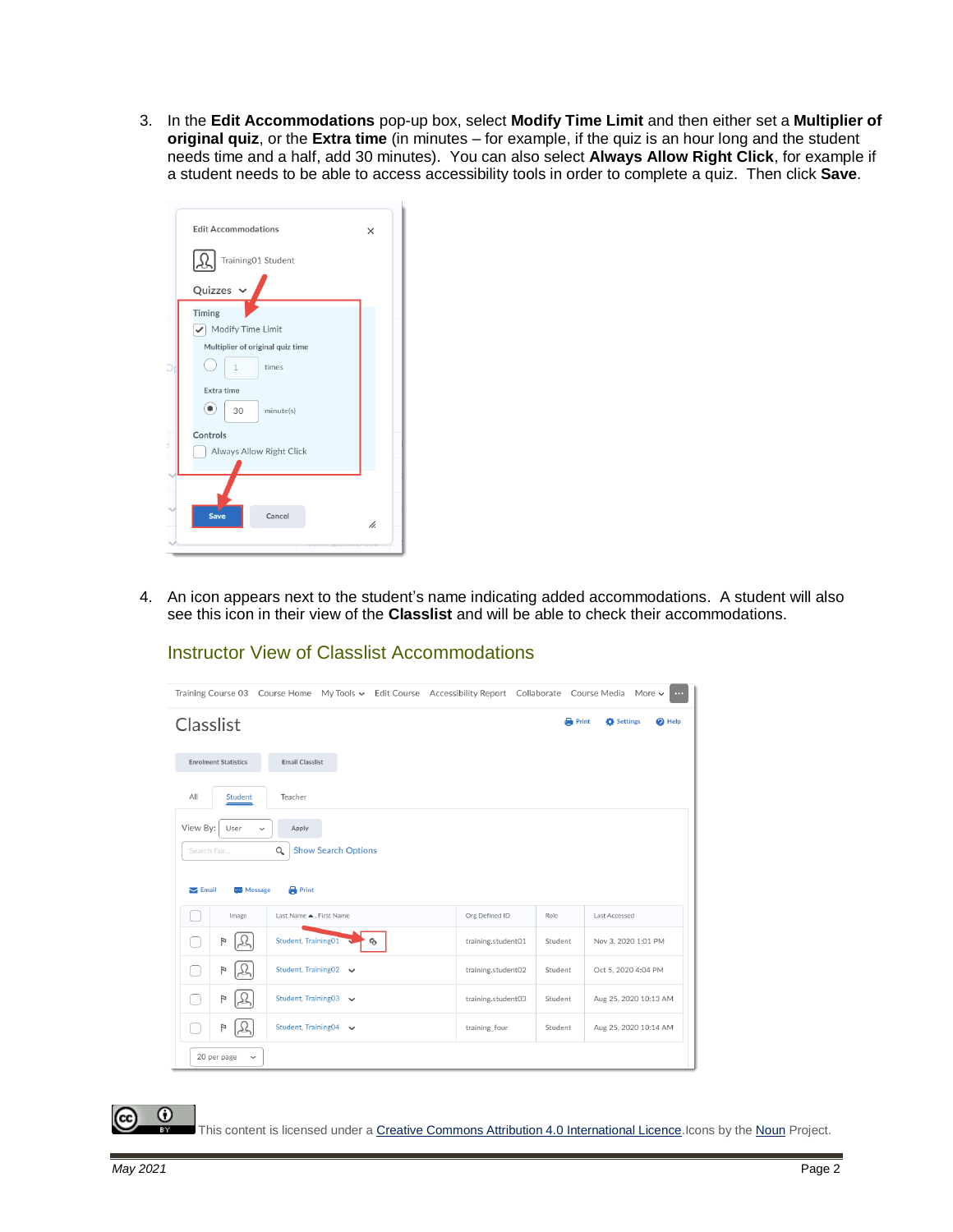3. In the **Edit Accommodations** pop-up box, select **Modify Time Limit** and then either set a **Multiplier of original quiz**, or the **Extra time** (in minutes – for example, if the quiz is an hour long and the student needs time and a half, add 30 minutes). You can also select **Always Allow Right Click**, for example if a student needs to be able to access accessibility tools in order to complete a quiz. Then click **Save**.

| <b>Edit Accommodations</b>       | ×  |
|----------------------------------|----|
| Training01 Student               |    |
| Quizzes $\sim$                   |    |
| Timing                           |    |
| Modify Time Limit<br>✓           |    |
| Multiplier of original quiz time |    |
| times<br>1                       |    |
| Extra time                       |    |
| ۰<br>30<br>minute(s)             |    |
| Controls                         |    |
| B<br>Always Allow Right Click    |    |
|                                  |    |
|                                  |    |
| <b>Save</b><br>Cancel            | ħ. |
|                                  |    |

4. An icon appears next to the student's name indicating added accommodations. A student will also see this icon in their view of the **Classlist** and will be able to check their accommodations.

|              | Training Course 03 Course Home My Tools v Edit Course Accessibility Report Collaborate Course Media More v |                         |                            |    |                    |         |                          |                   |
|--------------|------------------------------------------------------------------------------------------------------------|-------------------------|----------------------------|----|--------------------|---------|--------------------------|-------------------|
|              | Classlist                                                                                                  |                         |                            |    |                    |         | <b>Print</b><br>Settings | <sup>O</sup> Help |
|              | <b>Enrolment Statistics</b>                                                                                | <b>Email Classlist</b>  |                            |    |                    |         |                          |                   |
| All          | Student                                                                                                    | Teacher                 |                            |    |                    |         |                          |                   |
| View By:     | User<br>$\checkmark$                                                                                       | Apply                   |                            |    |                    |         |                          |                   |
| Search For   |                                                                                                            | $\alpha$                | <b>Show Search Options</b> |    |                    |         |                          |                   |
|              |                                                                                                            |                         |                            |    |                    |         |                          |                   |
| $\sum$ Email | <b>Message</b>                                                                                             | <b>Print</b>            |                            |    |                    |         |                          |                   |
|              | Image                                                                                                      | Last Name ▲, First Name |                            |    | Org Defined ID     | Role    | Last Accessed            |                   |
| ×.           | P                                                                                                          | Student, Training01     |                            | ÷. | training.student01 | Student | Nov 3, 2020 1:01 PM      |                   |
| r.           | P                                                                                                          | Student, Training02 v   |                            |    | training.student02 | Student | Oct 5, 2020 4:04 PM      |                   |
|              | P                                                                                                          | Student, Training03 v   |                            |    | training.student03 | Student | Aug 25, 2020 10:13 AM    |                   |
|              | Þ                                                                                                          | Student, Training04 v   |                            |    | training_four      | Student | Aug 25, 2020 10:14 AM    |                   |

### Instructor View of Classlist Accommodations

This content is licensed under a [Creative Commons Attribution 4.0 International Licence.I](https://creativecommons.org/licenses/by/4.0/)cons by the [Noun](https://creativecommons.org/website-icons/) Project.

 $\odot$